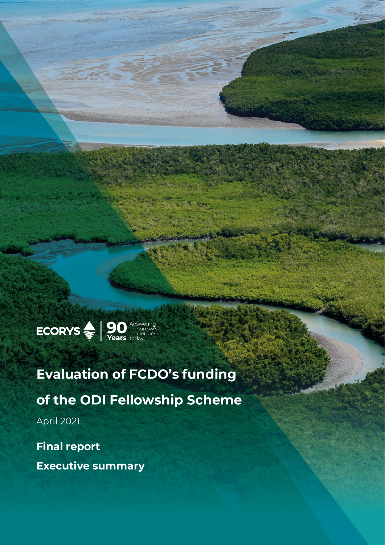

# **Evaluation of FCDO's funding** of the ODI Fellowship Scheme **April 2021**

**Final report Executive summary**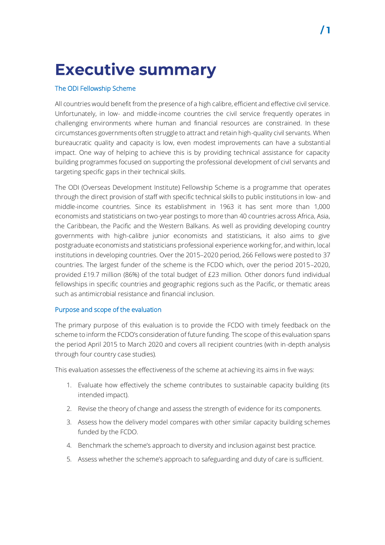# **Executive summary**

# The ODI Fellowship Scheme

All countries would benefit from the presence of a high calibre, efficient and effective civil service. Unfortunately, in low- and middle-income countries the civil service frequently operates in challenging environments where human and financial resources are constrained. In these circumstances governments often struggle to attract and retain high-quality civil servants. When bureaucratic quality and capacity is low, even modest improvements can have a substantial impact. One way of helping to achieve this is by providing technical assistance for capacity building programmes focused on supporting the professional development of civil servants and targeting specific gaps in their technical skills.

The ODI (Overseas Development Institute) Fellowship Scheme is a programme that operates through the direct provision of staff with specific technical skills to public institutions in low- and middle-income countries. Since its establishment in 1963 it has sent more than 1,000 economists and statisticians on two-year postings to more than 40 countries across Africa, Asia, the Caribbean, the Pacific and the Western Balkans. As well as providing developing country governments with high-calibre junior economists and statisticians, it also aims to give postgraduate economists and statisticians professional experience working for, and within, local institutions in developing countries. Over the 2015–2020 period, 266 Fellows were posted to 37 countries. The largest funder of the scheme is the FCDO which, over the period 2015–2020, provided £19.7 million (86%) of the total budget of £23 million. Other donors fund individual fellowships in specific countries and geographic regions such as the Pacific, or thematic areas such as antimicrobial resistance and financial inclusion.

### Purpose and scope of the evaluation

The primary purpose of this evaluation is to provide the FCDO with timely feedback on the scheme to inform the FCDO's consideration of future funding. The scope of this evaluation spans the period April 2015 to March 2020 and covers all recipient countries (with in-depth analysis through four country case studies).

This evaluation assesses the effectiveness of the scheme at achieving its aims in five ways:

- 1. Evaluate how effectively the scheme contributes to sustainable capacity building (its intended impact).
- 2. Revise the theory of change and assess the strength of evidence for its components.
- 3. Assess how the delivery model compares with other similar capacity building schemes funded by the FCDO.
- 4. Benchmark the scheme's approach to diversity and inclusion against best practice.
- 5. Assess whether the scheme's approach to safeguarding and duty of care is sufficient.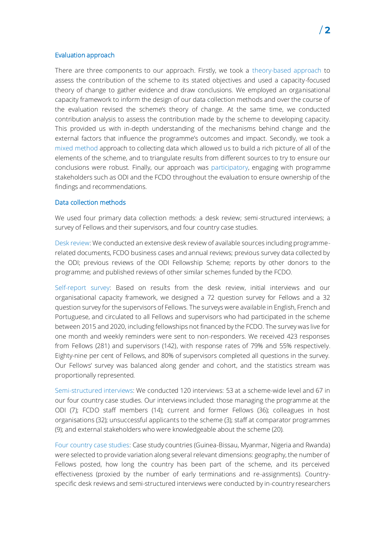#### Evaluation approach

There are three components to our approach. Firstly, we took a theory-based approach to assess the contribution of the scheme to its stated objectives and used a capacity-focused theory of change to gather evidence and draw conclusions. We employed an organisational capacity framework to inform the design of our data collection methods and over the course of the evaluation revised the scheme's theory of change. At the same time, we conducted contribution analysis to assess the contribution made by the scheme to developing capacity. This provided us with in-depth understanding of the mechanisms behind change and the external factors that influence the programme's outcomes and impact. Secondly, we took a mixed method approach to collecting data which allowed us to build a rich picture of all of the elements of the scheme, and to triangulate results from different sources to try to ensure our conclusions were robust. Finally, our approach was participatory, engaging with programme stakeholders such as ODI and the FCDO throughout the evaluation to ensure ownership of the findings and recommendations.

# Data collection methods

We used four primary data collection methods: a desk review; semi-structured interviews; a survey of Fellows and their supervisors, and four country case studies.

Desk review: We conducted an extensive desk review of available sources including programmerelated documents, FCDO business cases and annual reviews; previous survey data collected by the ODI; previous reviews of the ODI Fellowship Scheme; reports by other donors to the programme; and published reviews of other similar schemes funded by the FCDO.

Self-report survey: Based on results from the desk review, initial interviews and our organisational capacity framework, we designed a 72 question survey for Fellows and a 32 question survey for the supervisors of Fellows. The surveys were available in English, French and Portuguese, and circulated to all Fellows and supervisors who had participated in the scheme between 2015 and 2020, including fellowships not financed by the FCDO. The survey was live for one month and weekly reminders were sent to non-responders. We received 423 responses from Fellows (281) and supervisors (142), with response rates of 79% and 55% respectively. Eighty-nine per cent of Fellows, and 80% of supervisors completed all questions in the survey. Our Fellows' survey was balanced along gender and cohort, and the statistics stream was proportionally represented.

Semi-structured interviews: We conducted 120 interviews: 53 at a scheme-wide level and 67 in our four country case studies. Our interviews included: those managing the programme at the ODI (7); FCDO staff members (14); current and former Fellows (36); colleagues in host organisations (32); unsuccessful applicants to the scheme (3); staff at comparator programmes (9); and external stakeholders who were knowledgeable about the scheme (20).

Four country case studies: Case study countries (Guinea-Bissau, Myanmar, Nigeria and Rwanda) were selected to provide variation along several relevant dimensions: geography, the number of Fellows posted, how long the country has been part of the scheme, and its perceived effectiveness (proxied by the number of early terminations and re-assignments). Countryspecific desk reviews and semi-structured interviews were conducted by in-country researchers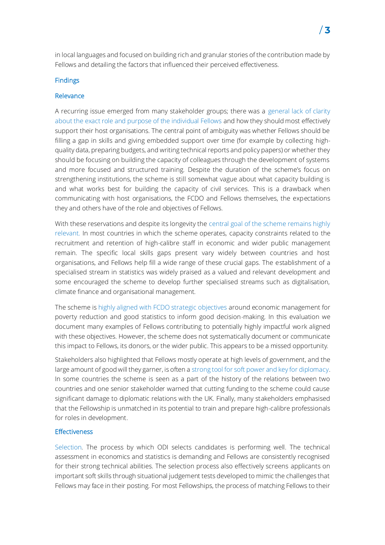in local languages and focused on building rich and granular stories of the contribution made by Fellows and detailing the factors that influenced their perceived effectiveness.

### **Findings**

#### Relevance

A recurring issue emerged from many stakeholder groups; there was a general lack of clarity about the exact role and purpose of the individual Fellows and how they should most effectively support their host organisations. The central point of ambiguity was whether Fellows should be filling a gap in skills and giving embedded support over time (for example by collecting highquality data, preparing budgets, and writing technical reports and policy papers) or whether they should be focusing on building the capacity of colleagues through the development of systems and more focused and structured training. Despite the duration of the scheme's focus on strengthening institutions, the scheme is still somewhat vague about what capacity building is and what works best for building the capacity of civil services. This is a drawback when communicating with host organisations, the FCDO and Fellows themselves, the expectations they and others have of the role and objectives of Fellows.

With these reservations and despite its longevity the central goal of the scheme remains highly relevant. In most countries in which the scheme operates, capacity constraints related to the recruitment and retention of high-calibre staff in economic and wider public management remain. The specific local skills gaps present vary widely between countries and host organisations, and Fellows help fill a wide range of these crucial gaps. The establishment of a specialised stream in statistics was widely praised as a valued and relevant development and some encouraged the scheme to develop further specialised streams such as digitalisation, climate finance and organisational management.

The scheme is highly aligned with FCDO strategic objectives around economic management for poverty reduction and good statistics to inform good decision-making. In this evaluation we document many examples of Fellows contributing to potentially highly impactful work aligned with these objectives. However, the scheme does not systematically document or communicate this impact to Fellows, its donors, or the wider public. This appears to be a missed opportunity.

Stakeholders also highlighted that Fellows mostly operate at high levels of government, and the large amount of good will they garner, is often a strong tool for soft power and key for diplomacy. In some countries the scheme is seen as a part of the history of the relations between two countries and one senior stakeholder warned that cutting funding to the scheme could cause significant damage to diplomatic relations with the UK. Finally, many stakeholders emphasised that the Fellowship is unmatched in its potential to train and prepare high-calibre professionals for roles in development.

#### **Effectiveness**

Selection. The process by which ODI selects candidates is performing well. The technical assessment in economics and statistics is demanding and Fellows are consistently recognised for their strong technical abilities. The selection process also effectively screens applicants on important soft skills through situational judgement tests developed to mimic the challenges that Fellows may face in their posting. For most Fellowships, the process of matching Fellows to their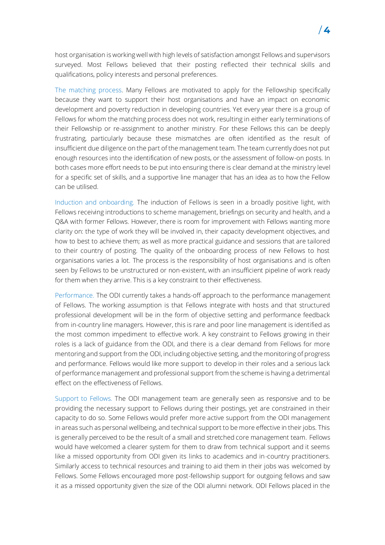host organisation is working well with high levels of satisfaction amongst Fellows and supervisors surveyed. Most Fellows believed that their posting reflected their technical skills and qualifications, policy interests and personal preferences.

The matching process. Many Fellows are motivated to apply for the Fellowship specifically because they want to support their host organisations and have an impact on economic development and poverty reduction in developing countries. Yet every year there is a group of Fellows for whom the matching process does not work, resulting in either early terminations of their Fellowship or re-assignment to another ministry. For these Fellows this can be deeply frustrating, particularly because these mismatches are often identified as the result of insufficient due diligence on the part of the management team. The team currently does not put enough resources into the identification of new posts, or the assessment of follow-on posts. In both cases more effort needs to be put into ensuring there is clear demand at the ministry level for a specific set of skills, and a supportive line manager that has an idea as to how the Fellow can be utilised.

Induction and onboarding. The induction of Fellows is seen in a broadly positive light, with Fellows receiving introductions to scheme management, briefings on security and health, and a Q&A with former Fellows. However, there is room for improvement with Fellows wanting more clarity on: the type of work they will be involved in, their capacity development objectives, and how to best to achieve them; as well as more practical guidance and sessions that are tailored to their country of posting. The quality of the onboarding process of new Fellows to host organisations varies a lot. The process is the responsibility of host organisations and is often seen by Fellows to be unstructured or non-existent, with an insufficient pipeline of work ready for them when they arrive. This is a key constraint to their effectiveness.

Performance. The ODI currently takes a hands-off approach to the performance management of Fellows. The working assumption is that Fellows integrate with hosts and that structured professional development will be in the form of objective setting and performance feedback from in-country line managers. However, this is rare and poor line management is identified as the most common impediment to effective work. A key constraint to Fellows growing in their roles is a lack of guidance from the ODI, and there is a clear demand from Fellows for more mentoring and support from the ODI, including objective setting, and the monitoring of progress and performance. Fellows would like more support to develop in their roles and a serious lack of performance management and professional support from the scheme is having a detrimental effect on the effectiveness of Fellows.

Support to Fellows. The ODI management team are generally seen as responsive and to be providing the necessary support to Fellows during their postings, yet are constrained in their capacity to do so. Some Fellows would prefer more active support from the ODI management in areas such as personal wellbeing, and technical support to be more effective in their jobs. This is generally perceived to be the result of a small and stretched core management team. Fellows would have welcomed a clearer system for them to draw from technical support and it seems like a missed opportunity from ODI given its links to academics and in-country practitioners. Similarly access to technical resources and training to aid them in their jobs was welcomed by Fellows. Some Fellows encouraged more post-fellowship support for outgoing fellows and saw it as a missed opportunity given the size of the ODI alumni network. ODI Fellows placed in the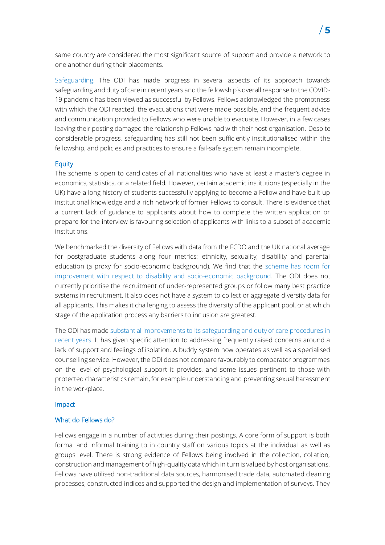same country are considered the most significant source of support and provide a network to one another during their placements.

Safeguarding. The ODI has made progress in several aspects of its approach towards safeguarding and duty of care in recent years and the fellowship's overall response to the COVID-19 pandemic has been viewed as successful by Fellows. Fellows acknowledged the promptness with which the ODI reacted, the evacuations that were made possible, and the frequent advice and communication provided to Fellows who were unable to evacuate. However, in a few cases leaving their posting damaged the relationship Fellows had with their host organisation. Despite considerable progress, safeguarding has still not been sufficiently institutionalised within the fellowship, and policies and practices to ensure a fail-safe system remain incomplete.

### **Equity**

The scheme is open to candidates of all nationalities who have at least a master's degree in economics, statistics, or a related field. However, certain academic institutions (especially in the UK) have a long history of students successfully applying to become a Fellow and have built up institutional knowledge and a rich network of former Fellows to consult. There is evidence that a current lack of guidance to applicants about how to complete the written application or prepare for the interview is favouring selection of applicants with links to a subset of academic institutions.

We benchmarked the diversity of Fellows with data from the FCDO and the UK national average for postgraduate students along four metrics: ethnicity, sexuality, disability and parental education (a proxy for socio-economic background). We find that the scheme has room for improvement with respect to disability and socio-economic background. The ODI does not currently prioritise the recruitment of under-represented groups or follow many best practice systems in recruitment. It also does not have a system to collect or aggregate diversity data for all applicants. This makes it challenging to assess the diversity of the applicant pool, or at which stage of the application process any barriers to inclusion are greatest.

The ODI has made substantial improvements to its safeguarding and duty of care procedures in recent years. It has given specific attention to addressing frequently raised concerns around a lack of support and feelings of isolation. A buddy system now operates as well as a specialised counselling service. However, the ODI does not compare favourably to comparator programmes on the level of psychological support it provides, and some issues pertinent to those with protected characteristics remain, for example understanding and preventing sexual harassment in the workplace.

#### Impact

#### What do Fellows do?

Fellows engage in a number of activities during their postings. A core form of support is both formal and informal training to in country staff on various topics at the individual as well as groups level. There is strong evidence of Fellows being involved in the collection, collation, construction and management of high-quality data which in turn is valued by host organisations. Fellows have utilised non-traditional data sources, harmonised trade data, automated cleaning processes, constructed indices and supported the design and implementation of surveys. They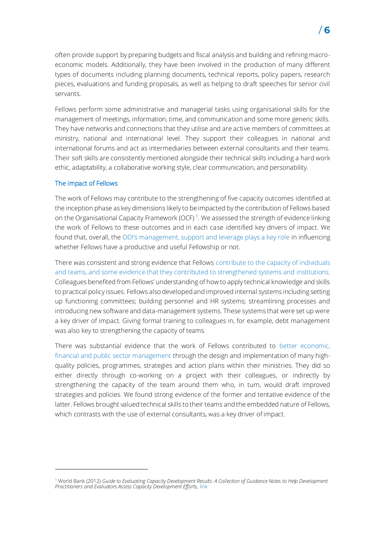often provide support by preparing budgets and fiscal analysis and building and refining macroeconomic models. Additionally, they have been involved in the production of many different types of documents including planning documents, technical reports, policy papers, research pieces, evaluations and funding proposals, as well as helping to draft speeches for senior civil servants.

Fellows perform some administrative and managerial tasks using organisational skills for the management of meetings, information, time, and communication and some more generic skills. They have networks and connections that they utilise and are active members of committees at ministry, national and international level. They support their colleagues in national and international forums and act as intermediaries between external consultants and their teams. Their soft skills are consistently mentioned alongside their technical skills including a hard work ethic, adaptability, a collaborative working style, clear communication, and personability.

### The impact of Fellows

The work of Fellows may contribute to the strengthening of five capacity outcomes identified at the inception phase as key dimensions likely to be impacted by the contribution of Fellows based on the Organisational Capacity Framework (OCF)<sup>1</sup>. We assessed the strength of evidence linking the work of Fellows to these outcomes and in each case identified key drivers of impact. We found that, overall, the ODI's management, support and leverage plays a key role in influencing whether Fellows have a productive and useful Fellowship or not.

There was consistent and strong evidence that Fellows contribute to the capacity of individuals and teams, and some evidence that they contributed to strengthened systems and institutions. Colleagues benefited from Fellows' understanding of how to apply technical knowledge and skills to practical policy issues. Fellows also developed and improved internal systems including setting up functioning committees; building personnel and HR systems; streamlining processes and introducing new software and data-management systems. These systems that were set up were a key driver of impact. Giving formal training to colleagues in, for example, debt management was also key to strengthening the capacity of teams.

There was substantial evidence that the work of Fellows contributed to better economic, financial and public sector management through the design and implementation of many highquality policies, programmes, strategies and action plans within their ministries. They did so either directly through co-working on a project with their colleagues, or indirectly by strengthening the capacity of the team around them who, in turn, would draft improved strategies and policies. We found strong evidence of the former and tentative evidence of the latter. Fellows brought valued technical skills to their teams and the embedded nature of Fellows, which contrasts with the use of external consultants, was a key driver of impact.



<sup>1</sup> World Bank (2012) *Guide to Evaluating Capacity Development Results: A Collection of Guidance Notes to Help Development Practitioners and Evaluators Assess Capacity Development Efforts,* [link](https://documents.worldbank.org/en/publication/documents-reports/documentdetail/352241468163166112/guide-to-evaluating-capacity-development-results-a-collection-of-guidance-notes-to-help-development-practitioners-and-evaluators-assess-capacity-development-efforts)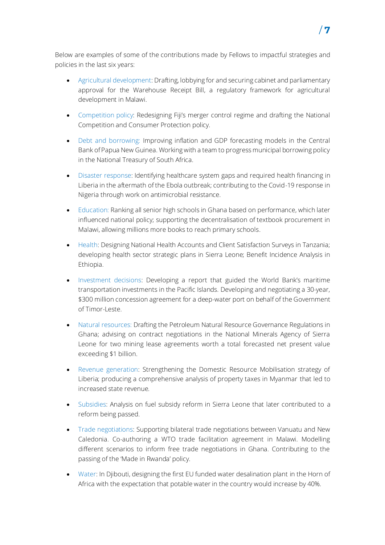Below are examples of some of the contributions made by Fellows to impactful strategies and policies in the last six years:

- Agricultural development: Drafting, lobbying for and securing cabinet and parliamentary approval for the Warehouse Receipt Bill, a regulatory framework for agricultural development in Malawi.
- Competition policy: Redesigning Fiji's merger control regime and drafting the National Competition and Consumer Protection policy.
- Debt and borrowing: Improving inflation and GDP forecasting models in the Central Bank of Papua New Guinea. Working with a team to progress municipal borrowing policy in the National Treasury of South Africa.
- Disaster response: Identifying healthcare system gaps and required health financing in Liberia in the aftermath of the Ebola outbreak; contributing to the Covid-19 response in Nigeria through work on antimicrobial resistance.
- Education: Ranking all senior high schools in Ghana based on performance, which later influenced national policy; supporting the decentralisation of textbook procurement in Malawi, allowing millions more books to reach primary schools.
- Health: Designing National Health Accounts and Client Satisfaction Surveys in Tanzania; developing health sector strategic plans in Sierra Leone; Benefit Incidence Analysis in Ethiopia.
- Investment decisions: Developing a report that guided the World Bank's maritime transportation investments in the Pacific Islands. Developing and negotiating a 30-year, \$300 million concession agreement for a deep-water port on behalf of the Government of Timor-Leste.
- Natural resources: Drafting the Petroleum Natural Resource Governance Regulations in Ghana; advising on contract negotiations in the National Minerals Agency of Sierra Leone for two mining lease agreements worth a total forecasted net present value exceeding \$1 billion.
- Revenue generation: Strengthening the Domestic Resource Mobilisation strategy of Liberia; producing a comprehensive analysis of property taxes in Myanmar that led to increased state revenue.
- Subsidies: Analysis on fuel subsidy reform in Sierra Leone that later contributed to a reform being passed.
- Trade negotiations: Supporting bilateral trade negotiations between Vanuatu and New Caledonia. Co-authoring a WTO trade facilitation agreement in Malawi. Modelling different scenarios to inform free trade negotiations in Ghana. Contributing to the passing of the 'Made in Rwanda' policy.
- Water: In Djibouti, designing the first EU funded water desalination plant in the Horn of Africa with the expectation that potable water in the country would increase by 40%.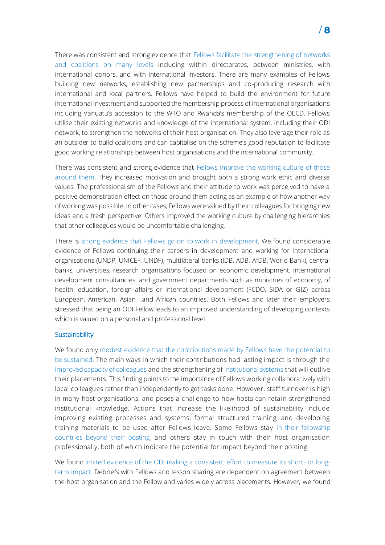There was consistent and strong evidence that Fellows facilitate the strengthening of networks and coalitions on many levels including within directorates, between ministries, with international donors, and with international investors. There are many examples of Fellows building new networks, establishing new partnerships and co-producing research with international and local partners. Fellows have helped to build the environment for future international investment and supported the membership process of international organisations including Vanuatu's accession to the WTO and Rwanda's membership of the OECD. Fellows utilise their existing networks and knowledge of the international system, including their ODI network, to strengthen the networks of their host organisation. They also leverage their role as an outsider to build coalitions and can capitalise on the scheme's good reputation to facilitate good working relationships between host organisations and the international community.

There was consistent and strong evidence that Fellows improve the working culture of those around them. They increased motivation and brought both a strong work ethic and diverse values. The professionalism of the Fellows and their attitude to work was perceived to have a positive demonstration effect on those around them acting as an example of how another way of working was possible. In other cases, Fellows were valued by their colleagues for bringing new ideas and a fresh perspective. Others improved the working culture by challenging hierarchies that other colleagues would be uncomfortable challenging.

There is strong evidence that Fellows go on to work in development. We found considerable evidence of Fellows continuing their careers in development and working for international organisations (UNDP, UNICEF, UNDF), multilateral banks (IDB, ADB, AfDB, World Bank), central banks, universities, research organisations focused on economic development, international development consultancies, and government departments such as ministries of economy, of health, education, foreign affairs or international development (FCDO, SIDA or GIZ) across European, American, Asian and African countries. Both Fellows and later their employers stressed that being an ODI Fellow leads to an improved understanding of developing contexts which is valued on a personal and professional level.

# **Sustainability**

We found only modest evidence that the contributions made by Fellows have the potential to be sustained. The main ways in which their contributions had lasting impact is through the improved capacity of colleagues and the strengthening of institutional systems that will outlive their placements. This finding points to the importance of Fellows working collaboratively with local colleagues rather than independently to get tasks done. However, staff turnover is high in many host organisations, and poses a challenge to how hosts can retain strengthened institutional knowledge. Actions that increase the likelihood of sustainability include improving existing processes and systems, formal structured training, and developing training materials to be used after Fellows leave. Some Fellows stay in their fellowship countries beyond their posting, and others stay in touch with their host organisation professionally, both of which indicate the potential for impact beyond their posting.

We found limited evidence of the ODI making a consistent effort to measure its short- or longterm impact. Debriefs with Fellows and lesson sharing are dependent on agreement between the host organisation and the Fellow and varies widely across placements. However, we found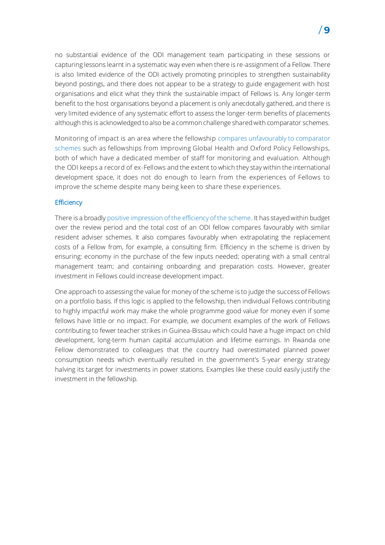no substantial evidence of the ODI management team participating in these sessions or capturing lessons learnt in a systematic way even when there is re-assignment of a Fellow. There is also limited evidence of the ODI actively promoting principles to strengthen sustainability beyond postings, and there does not appear to be a strategy to guide engagement with host organisations and elicit what they think the sustainable impact of Fellows is. Any longer-term benefit to the host organisations beyond a placement is only anecdotally gathered, and there is very limited evidence of any systematic effort to assess the longer-term benefits of placements although this is acknowledged to also be a common challenge shared with comparator schemes.

Monitoring of impact is an area where the fellowship compares unfavourably to comparator schemes such as fellowships from Improving Global Health and Oxford Policy Fellowships, both of which have a dedicated member of staff for monitoring and evaluation. Although the ODI keeps a record of ex-Fellows and the extent to which they stay within the international development space, it does not do enough to learn from the experiences of Fellows to improve the scheme despite many being keen to share these experiences.

### **Efficiency**

There is a broadly positive impression of the efficiency of the scheme. It has stayed within budget over the review period and the total cost of an ODI fellow compares favourably with similar resident adviser schemes. It also compares favourably when extrapolating the replacement costs of a Fellow from, for example, a consulting firm. Efficiency in the scheme is driven by ensuring: economy in the purchase of the few inputs needed; operating with a small central management team; and containing onboarding and preparation costs. However, greater investment in Fellows could increase development impact.

One approach to assessing the value for money of the scheme is to judge the success of Fellows on a portfolio basis. If this logic is applied to the fellowship, then individual Fellows contributing to highly impactful work may make the whole programme good value for money even if some fellows have little or no impact. For example, we document examples of the work of Fellows contributing to fewer teacher strikes in Guinea-Bissau which could have a huge impact on child development, long-term human capital accumulation and lifetime earnings. In Rwanda one Fellow demonstrated to colleagues that the country had overestimated planned power consumption needs which eventually resulted in the government's 5-year energy strategy halving its target for investments in power stations. Examples like these could easily justify the investment in the fellowship.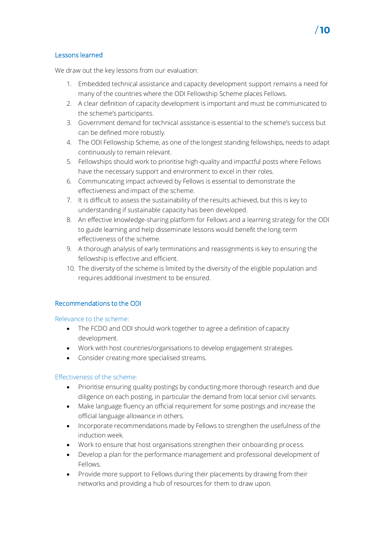# Lessons learned

We draw out the key lessons from our evaluation:

1. Embedded technical assistance and capacity development support remains a need for many of the countries where the ODI Fellowship Scheme places Fellows.

710

- 2. A clear definition of capacity development is important and must be communicated to the scheme's participants.
- 3. Government demand for technical assistance is essential to the scheme's success but can be defined more robustly.
- 4. The ODI Fellowship Scheme, as one of the longest standing fellowships, needs to adapt continuously to remain relevant.
- 5. Fellowships should work to prioritise high-quality and impactful posts where Fellows have the necessary support and environment to excel in their roles.
- 6. Communicating impact achieved by Fellows is essential to demonstrate the effectiveness and impact of the scheme.
- 7. It is difficult to assess the sustainability of the results achieved, but this is key to understanding if sustainable capacity has been developed.
- 8. An effective knowledge-sharing platform for Fellows and a learning strategy for the ODI to guide learning and help disseminate lessons would benefit the long-term effectiveness of the scheme.
- 9. A thorough analysis of early terminations and reassignments is key to ensuring the fellowship is effective and efficient.
- 10. The diversity of the scheme is limited by the diversity of the eligible population and requires additional investment to be ensured.

# Recommendations to the ODI

### Relevance to the scheme:

- The FCDO and ODI should work together to agree a definition of capacity development.
- Work with host countries/organisations to develop engagement strategies.
- Consider creating more specialised streams.

# Effectiveness of the scheme:

- Prioritise ensuring quality postings by conducting more thorough research and due diligence on each posting, in particular the demand from local senior civil servants.
- Make language fluency an official requirement for some postings and increase the official language allowance in others.
- Incorporate recommendations made by Fellows to strengthen the usefulness of the induction week.
- Work to ensure that host organisations strengthen their onboarding process.
- Develop a plan for the performance management and professional development of Fellows.
- Provide more support to Fellows during their placements by drawing from their networks and providing a hub of resources for them to draw upon.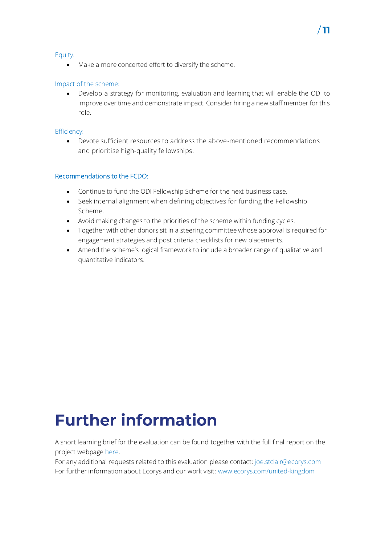### Equity:

• Make a more concerted effort to diversify the scheme.

# Impact of the scheme:

• Develop a strategy for monitoring, evaluation and learning that will enable the ODI to improve over time and demonstrate impact. Consider hiring a new staff member for this role.

## Efficiency:

• Devote sufficient resources to address the above-mentioned recommendations and prioritise high-quality fellowships.

# Recommendations to the FCDO:

- Continue to fund the ODI Fellowship Scheme for the next business case.
- Seek internal alignment when defining objectives for funding the Fellowship Scheme.
- Avoid making changes to the priorities of the scheme within funding cycles.
- Together with other donors sit in a steering committee whose approval is required for engagement strategies and post criteria checklists for new placements.
- Amend the scheme's logical framework to include a broader range of qualitative and quantitative indicators.

# **Further information**

A short learning brief for the evaluation can be found together with the full final report on the project webpage [here.](https://www.ecorys.com/united-kingdom/our-work/supporting-civil-service-improvements-low-and-middle-income-countries)

For any additional requests related to this evaluation please contact: [joe.stclair@ecorys.com](mailto:joe.stclair@ecorys.com) For further information about Ecorys and our work visit: [www.ecorys.com/united-kingdom](http://www.ecorys.com/united-kingdom)